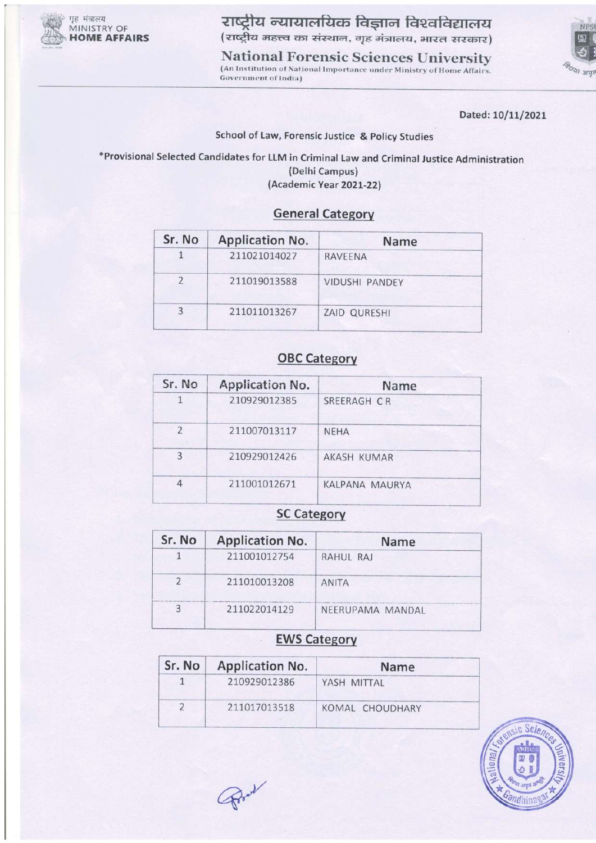

राष्ट्रीय न्यायालयिक विज्ञान विश्वविद्यालय (राष्ट्रीय महत्त्व का संस्थान, गृह मंत्रालय, भारत सरकार)

**National Forensic Sciences University** (An Institution of National Importance under Ministry of Home Affairs, Government of India)



Dated: 10/11/2021

#### School of Law, Forensic Justice & Policy Studies

\*Provisional Selected Candidates for LLM in Criminal Law and Criminal Justice Administration (Delhi Campus) (Academic Year 2021-22)

#### **General Category**

| Sr. No | <b>Application No.</b> | Name                  |  |
|--------|------------------------|-----------------------|--|
|        | 211021014027           | <b>RAVEENA</b>        |  |
| 2      | 211019013588           | <b>VIDUSHI PANDEY</b> |  |
| 3      | 211011013267           | ZAID QURESHI          |  |

## **OBC Category**

| Application No. | Name                  |  |
|-----------------|-----------------------|--|
| 210929012385    | SREERAGH CR           |  |
| 211007013117    | <b>NEHA</b>           |  |
| 210929012426    | AKASH KUMAR           |  |
| 211001012671    | <b>KALPANA MAURYA</b> |  |
|                 |                       |  |

#### **SC Category**

| Sr. No | <b>Application No.</b> | <b>Name</b>      |
|--------|------------------------|------------------|
|        | 211001012754           | RAHUL RAJ        |
|        | 211010013208           | <b>ANITA</b>     |
| 3      | 211022014129           | NEERUPAMA MANDAL |

### **EWS Category**

| Sr. No | <b>Application No.</b> | <b>Name</b>     |
|--------|------------------------|-----------------|
|        | 210929012386           | YASH MITTAL     |
|        | 211017013518           | KOMAL CHOUDHARY |



Prot